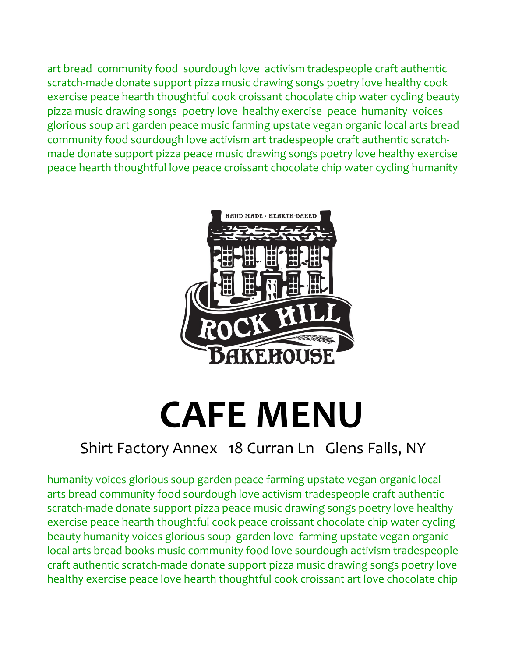art bread community food sourdough love activism tradespeople craft authentic scratch-made donate support pizza music drawing songs poetry love healthy cook exercise peace hearth thoughtful cook croissant chocolate chip water cycling beauty pizza music drawing songs poetry love healthy exercise peace humanity voices glorious soup art garden peace music farming upstate vegan organic local arts bread community food sourdough love activism art tradespeople craft authentic scratchmade donate support pizza peace music drawing songs poetry love healthy exercise peace hearth thoughtful love peace croissant chocolate chip water cycling humanity



# **CAFE MENU**

# Shirt Factory Annex 18 Curran Ln Glens Falls, NY

humanity voices glorious soup garden peace farming upstate vegan organic local arts bread community food sourdough love activism tradespeople craft authentic scratch-made donate support pizza peace music drawing songs poetry love healthy exercise peace hearth thoughtful cook peace croissant chocolate chip water cycling beauty humanity voices glorious soup garden love farming upstate vegan organic local arts bread books music community food love sourdough activism tradespeople craft authentic scratch-made donate support pizza music drawing songs poetry love healthy exercise peace love hearth thoughtful cook croissant art love chocolate chip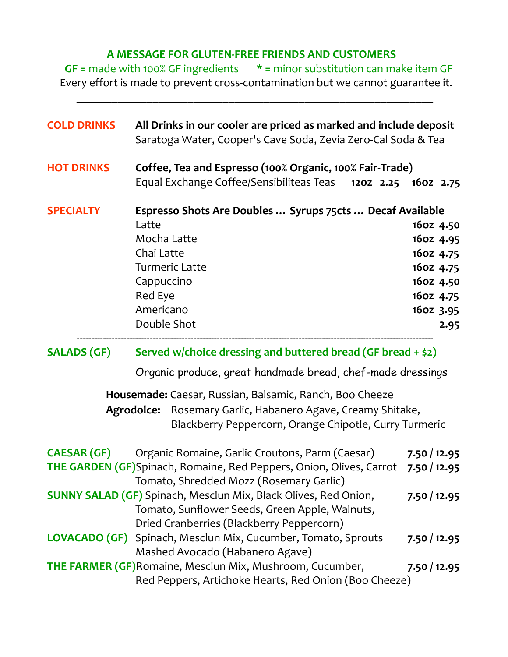#### **A MESSAGE FOR GLUTEN-FREE FRIENDS AND CUSTOMERS**

 **GF =** made with 100% GF ingredients **\* =** minor substitution can make item GF Every effort is made to prevent cross-contamination but we cannot guarantee it.

 $\mathcal{L}_\text{max}$  and the contract of the contract of the contract of the contract of the contract of the contract of

| <b>COLD DRINKS</b> | All Drinks in our cooler are priced as marked and include deposit<br>Saratoga Water, Cooper's Cave Soda, Zevia Zero-Cal Soda & Tea                                                                                                                |                                                                                                 |
|--------------------|---------------------------------------------------------------------------------------------------------------------------------------------------------------------------------------------------------------------------------------------------|-------------------------------------------------------------------------------------------------|
| <b>HOT DRINKS</b>  | Coffee, Tea and Espresso (100% Organic, 100% Fair-Trade)<br>Equal Exchange Coffee/Sensibiliteas Teas 1202 2.25 1602 2.75                                                                                                                          |                                                                                                 |
| <b>SPECIALTY</b>   | Espresso Shots Are Doubles  Syrups 75cts  Decaf Available<br>Latte<br>Mocha Latte<br>Chai Latte<br><b>Turmeric Latte</b><br>Cappuccino<br>Red Eye<br>Americano<br>Double Shot                                                                     | 16oz 4.50<br>16oz 4.95<br>16oz 4.75<br>16oz 4.75<br>16oz 4.50<br>16oz 4.75<br>16oz 3.95<br>2.95 |
| <b>SALADS (GF)</b> | Served w/choice dressing and buttered bread (GF bread + \$2)<br>Organic produce, great handmade bread, chef-made dressings                                                                                                                        |                                                                                                 |
|                    | Housemade: Caesar, Russian, Balsamic, Ranch, Boo Cheeze<br>Rosemary Garlic, Habanero Agave, Creamy Shitake,<br>Agrodolce:<br>Blackberry Peppercorn, Orange Chipotle, Curry Turmeric                                                               |                                                                                                 |
| <b>CAESAR (GF)</b> | Organic Romaine, Garlic Croutons, Parm (Caesar)<br>THE GARDEN (GF)Spinach, Romaine, Red Peppers, Onion, Olives, Carrot 7.50 / 12.95<br>Tomato, Shredded Mozz (Rosemary Garlic)<br>SUNNY SALAD (GF) Spinach, Mesclun Mix, Black Olives, Red Onion, | 7.50/12.95<br>7.50/12.95                                                                        |
|                    | Tomato, Sunflower Seeds, Green Apple, Walnuts,<br>Dried Cranberries (Blackberry Peppercorn)<br><b>LOVACADO (GF)</b> Spinach, Mesclun Mix, Cucumber, Tomato, Sprouts                                                                               | 7.50/12.95                                                                                      |
|                    | Mashed Avocado (Habanero Agave)<br><b>THE FARMER (GF) Romaine, Mesclun Mix, Mushroom, Cucumber,</b>                                                                                                                                               | 7.50/12.95                                                                                      |
|                    | Red Peppers, Artichoke Hearts, Red Onion (Boo Cheeze)                                                                                                                                                                                             |                                                                                                 |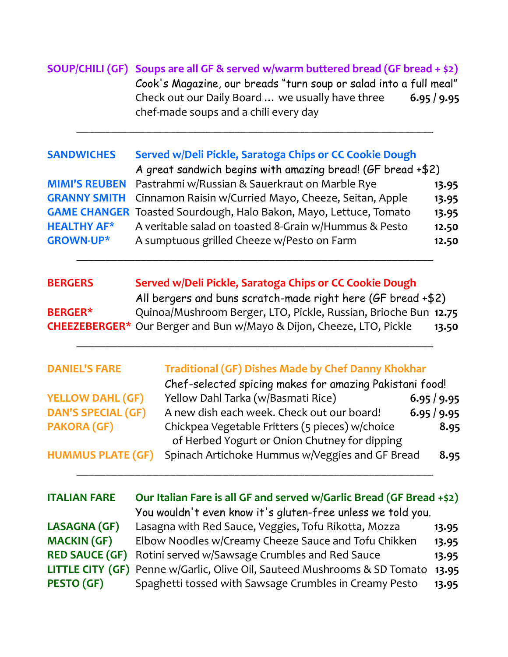### **SOUP/CHILI (GF) Soups are all GF & served w/warm buttered bread (GF bread + \$2)** Cook's Magazine, our breads "turn soup or salad into a full meal" Check out our Daily Board … we usually have three **6.95 / 9.95** chef-made soups and a chili every day

 $\mathcal{L}_\text{max}$  and the contract of the contract of the contract of the contract of the contract of the contract of

#### **SANDWICHES Served w/Deli Pickle, Saratoga Chips or CC Cookie Dough**

|                    | A great sandwich begins with amazing bread! (GF bread +\$2)               |       |
|--------------------|---------------------------------------------------------------------------|-------|
|                    | <b>MIMI'S REUBEN</b> Pastrahmi w/Russian & Sauerkraut on Marble Rye       | 13.95 |
|                    | <b>GRANNY SMITH</b> Cinnamon Raisin w/Curried Mayo, Cheeze, Seitan, Apple | 13.95 |
|                    | <b>GAME CHANGER</b> Toasted Sourdough, Halo Bakon, Mayo, Lettuce, Tomato  | 13.95 |
| <b>HEALTHY AF*</b> | A veritable salad on toasted 8-Grain w/Hummus & Pesto                     | 12.50 |
| <b>GROWN-UP*</b>   | A sumptuous grilled Cheeze w/Pesto on Farm                                | 12.50 |
|                    |                                                                           |       |

| <b>BERGERS</b> | Served w/Deli Pickle, Saratoga Chips or CC Cookie Dough                     |       |
|----------------|-----------------------------------------------------------------------------|-------|
|                | All bergers and buns scratch-made right here (GF bread +\$2)                |       |
| <b>BERGER*</b> | Quinoa/Mushroom Berger, LTO, Pickle, Russian, Brioche Bun 12.75             |       |
|                | <b>CHEEZEBERGER*</b> Our Berger and Bun w/Mayo & Dijon, Cheeze, LTO, Pickle | 13.50 |

 $\mathcal{L}_\text{max}$  , and the contract of the contract of the contract of the contract of the contract of the contract of the contract of the contract of the contract of the contract of the contract of the contract of the contr

## **DANIEL'S FARE Traditional (GF) Dishes Made by Chef Danny Khokhar** Chef-selected spicing makes for amazing Pakistani food! **YELLOW DAHL (GF)** Yellow Dahl Tarka (w/Basmati Rice) **6.95 / 9.95 DAN'S SPECIAL (GF)** A new dish each week. Check out our board! **6.95 / 9.95 PAKORA (GF)** Chickpea Vegetable Fritters (5 pieces) w/choice **8.95** of Herbed Yogurt or Onion Chutney for dipping **HUMMUS PLATE (GF)** Spinach Artichoke Hummus w/Veggies and GF Bread **8.95**  $\mathcal{L}_\text{max}$  , and the contract of the contract of the contract of the contract of the contract of the contract of the contract of the contract of the contract of the contract of the contract of the contract of the contr

| <b>ITALIAN FARE</b>   | Our Italian Fare is all GF and served w/Garlic Bread (GF Bread +\$2)      |       |
|-----------------------|---------------------------------------------------------------------------|-------|
|                       | You wouldn't even know it's gluten-free unless we told you.               |       |
| <b>LASAGNA (GF)</b>   | Lasagna with Red Sauce, Veggies, Tofu Rikotta, Mozza                      | 13.95 |
| <b>MACKIN (GF)</b>    | Elbow Noodles w/Creamy Cheeze Sauce and Tofu Chikken                      | 13.95 |
| <b>RED SAUCE (GF)</b> | Rotini served w/Sawsage Crumbles and Red Sauce                            | 13.95 |
|                       | LITTLE CITY (GF) Penne w/Garlic, Olive Oil, Sauteed Mushrooms & SD Tomato | 13.95 |
| PESTO (GF)            | Spaghetti tossed with Sawsage Crumbles in Creamy Pesto                    | 13.95 |